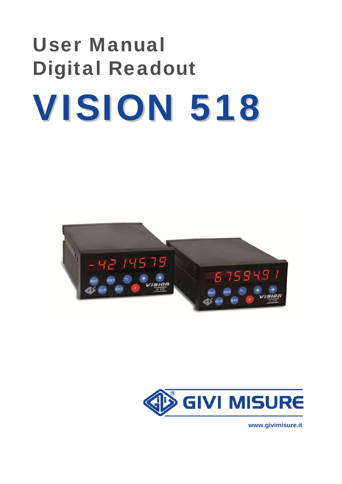# User Manual Digital Readout VISION 518





 **www.givimisure.it**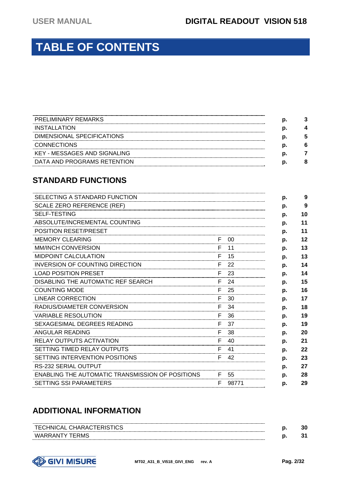# **TABLE OF CONTENTS**

| <b>PRELIMINARY REMARKS</b>   |  |
|------------------------------|--|
| INSTALLATION                 |  |
| DIMENSIONAL SPECIFICATIONS   |  |
| <b>CONNECTIONS</b>           |  |
| KEY - MESSAGES AND SIGNALING |  |
| DATA AND PROGRAMS RETENTION  |  |

#### **STANDARD FUNCTIONS**

| SELECTING A STANDARD FUNCTION                           |    |       | p. | 9  |
|---------------------------------------------------------|----|-------|----|----|
| <b>SCALE ZERO REFERENCE (REF)</b>                       |    |       | p. | 9  |
| <b>SELF-TESTING</b>                                     |    |       | p. | 10 |
| ABSOLUTE/INCREMENTAL COUNTING                           |    |       | p. | 11 |
| <b>POSITION RESET/PRESET</b>                            |    |       | p. | 11 |
| <b>MEMORY CLEARING</b>                                  | F. | 00    | p. | 12 |
| <b>MM/INCH CONVERSION</b>                               | F. | 11    | p. | 13 |
| MIDPOINT CALCULATION                                    | F  | 15    | p. | 13 |
| INVERSION OF COUNTING DIRECTION                         | F  | 22    | p. | 14 |
| <b>LOAD POSITION PRESET</b>                             | F. | 23    | p. | 14 |
| DISABLING THE AUTOMATIC REF SEARCH                      | F. | 24    | p. | 15 |
| <b>COUNTING MODE</b>                                    | F  | 25    | p. | 16 |
| LINEAR CORRECTION                                       | F  | 30    | p. | 17 |
| RADIUS/DIAMETER CONVERSION                              | F. | -34   | p. | 18 |
| <b>VARIABLE RESOLUTION</b>                              | F. | 36    | p. | 19 |
| <b>SEXAGESIMAL DEGREES READING</b>                      | F. | 37    | p. | 19 |
| ANGULAR READING                                         | F  | 38    | p. | 20 |
| RELAY OUTPUTS ACTIVATION                                | F. | 40    | p. | 21 |
| SETTING TIMED RELAY OUTPUTS                             | F  | 41    | p. | 22 |
| SETTING INTERVENTION POSITIONS                          | F  | 42    | p. | 23 |
| RS-232 SERIAL OUTPUT                                    |    |       | p. | 27 |
| <b>ENABLING THE AUTOMATIC TRANSMISSION OF POSITIONS</b> | F. | 55    | p. | 28 |
| <b>SETTING SSI PARAMETERS</b>                           | F  | 98771 | p. | 29 |

#### **ADDITIONAL INFORMATION**

| TF <sub>(</sub><br>CHARAC.<br>ÈΔI<br>∴HNI€<br>►►∽<br>$\overline{1}$<br>------------------------- | -- | 30 |
|--------------------------------------------------------------------------------------------------|----|----|
| WARRANTY.<br><b>ERMS</b>                                                                         | -- |    |

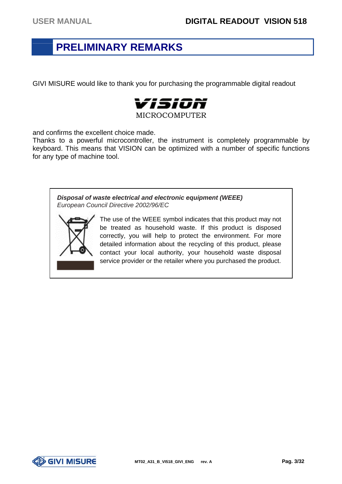### **PRELIMINARY REMARKS**

GIVI MISURE would like to thank you for purchasing the programmable digital readout



and confirms the excellent choice made.

Thanks to a powerful microcontroller, the instrument is completely programmable by keyboard. This means that VISION can be optimized with a number of specific functions for any type of machine tool.

*Disposal of waste electrical and electronic equipment (WEEE) European Council Directive 2002/96/EC*



The use of the WEEE symbol indicates that this product may not be treated as household waste. If this product is disposed correctly, you will help to protect the environment. For more detailed information about the recycling of this product, please contact your local authority, your household waste disposal service provider or the retailer where you purchased the product.

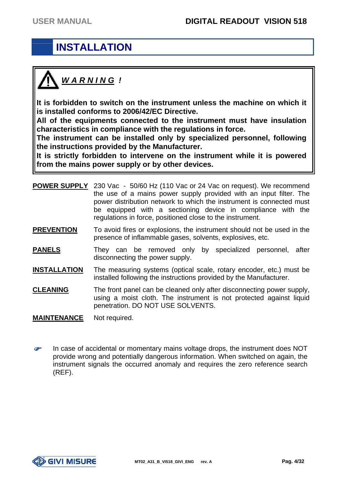# **INSTALLATION**



**It is forbidden to switch on the instrument unless the machine on which it is installed conforms to 2006/42/EC Directive.** 

**All of the equipments connected to the instrument must have insulation characteristics in compliance with the regulations in force.** 

**The instrument can be installed only by specialized personnel, following the instructions provided by the Manufacturer.** 

**It is strictly forbidden to intervene on the instrument while it is powered from the mains power supply or by other devices.** 

| <b>POWER SUPPLY</b> | 230 Vac - 50/60 Hz (110 Vac or 24 Vac on request). We recommend<br>the use of a mains power supply provided with an input filter. The<br>power distribution network to which the instrument is connected must<br>be equipped with a sectioning device in compliance with the<br>regulations in force, positioned close to the instrument. |
|---------------------|-------------------------------------------------------------------------------------------------------------------------------------------------------------------------------------------------------------------------------------------------------------------------------------------------------------------------------------------|
| <b>PREVENTION</b>   | To avoid fires or explosions, the instrument should not be used in the<br>presence of inflammable gases, solvents, explosives, etc.                                                                                                                                                                                                       |
| <b>PANELS</b>       | They can be removed only by specialized personnel,<br>after<br>disconnecting the power supply.                                                                                                                                                                                                                                            |
| <b>INSTALLATION</b> | The measuring systems (optical scale, rotary encoder, etc.) must be<br>installed following the instructions provided by the Manufacturer.                                                                                                                                                                                                 |
| <b>CLEANING</b>     | The front panel can be cleaned only after disconnecting power supply,<br>using a moist cloth. The instrument is not protected against liquid                                                                                                                                                                                              |

**MAINTENANCE** Not required.

G In case of accidental or momentary mains voltage drops, the instrument does NOT provide wrong and potentially dangerous information. When switched on again, the instrument signals the occurred anomaly and requires the zero reference search (REF).

penetration. DO NOT USE SOLVENTS.

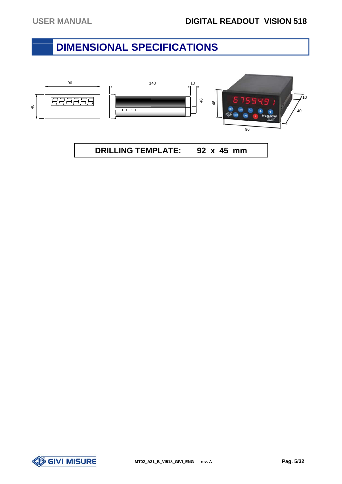### **DIMENSIONAL SPECIFICATIONS**



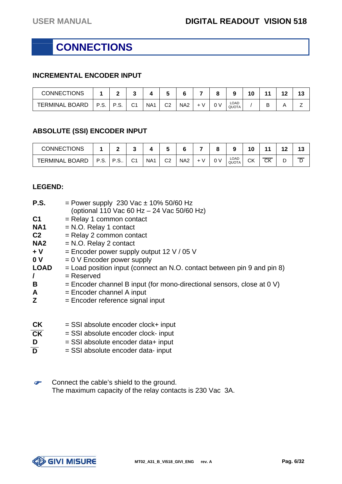# **CONNECTIONS**

#### **INCREMENTAL ENCODER INPUT**

| <b>CONNECTIONS</b>    |      |            |             |                 |    |                 | o   |                      |  | 4 C<br>. . | 42<br>w |
|-----------------------|------|------------|-------------|-----------------|----|-----------------|-----|----------------------|--|------------|---------|
| <b>TERMINAL BOARD</b> | P.S. | рç<br>٠.Ο. | $\sim$<br>◡ | NA <sub>1</sub> | C2 | NA <sub>2</sub> | 0 V | LOAD<br><b>QUOTA</b> |  | . .<br>-   |         |

#### **ABSOLUTE (SSI) ENCODER INPUT**

| <b>CONNECTIONS</b> |      |   |    |                 |    |                 |   |   |                      | 10       |                        | $\sqrt{2}$ | $\triangle$<br>ن ا |
|--------------------|------|---|----|-----------------|----|-----------------|---|---|----------------------|----------|------------------------|------------|--------------------|
| TERMINAL BOARD     | P.S. | ت | С1 | NA <sub>1</sub> | C2 | NA <sub>2</sub> | ν | v | LOAD<br><b>QUOTA</b> | יי<br>UN | $\overline{\text{CK}}$ | -<br>-     | ◡                  |

#### **LEGEND:**

| <b>P.S.</b>     | $=$ Power supply 230 Vac $\pm$ 10% 50/60 Hz<br>(optional 110 Vac 60 Hz - 24 Vac 50/60 Hz) |
|-----------------|-------------------------------------------------------------------------------------------|
| C <sub>1</sub>  | $=$ Relay 1 common contact                                                                |
| NA <sub>1</sub> | $= N.O.$ Relay 1 contact                                                                  |
| C <sub>2</sub>  | $=$ Relay 2 common contact                                                                |
| NA <sub>2</sub> | $= N.O.$ Relay 2 contact                                                                  |
| $+V$            | $=$ Encoder power supply output 12 V / 05 V                                               |
| 0 <sub>V</sub>  | $= 0$ V Encoder power supply                                                              |
| <b>LOAD</b>     | $=$ Load position input (connect an N.O. contact between pin 9 and pin 8)                 |
| I               | $=$ Reserved                                                                              |
| B               | $=$ Encoder channel B input (for mono-directional sensors, close at 0 V)                  |
| A               | $=$ Encoder channel A input                                                               |
| Z               | $=$ Encoder reference signal input                                                        |
|                 |                                                                                           |
| <b>CK</b>       | $=$ SSI absolute encoder clock+ input                                                     |

| --- | $-$ 001 appoints onobable proprieting to |
|-----|------------------------------------------|
| CK  | = SSI absolute encoder clock- input      |
| D   | $=$ SSI absolute encoder data+ input     |
|     |                                          |

- $\overline{D}$  = SSI absolute encoder data- input
- **P**  Connect the cable's shield to the ground. The maximum capacity of the relay contacts is 230 Vac 3A.

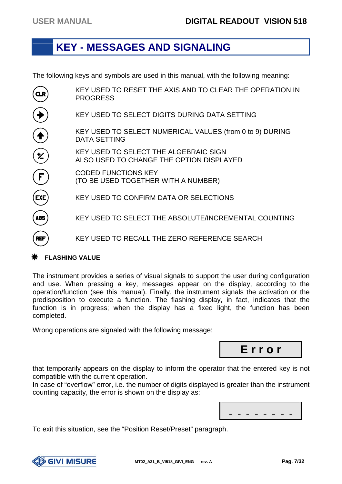#### **KEY - MESSAGES AND SIGNALING**

The following keys and symbols are used in this manual, with the following meaning:

KEY USED TO RESET THE AXIS AND TO CLEAR THE OPERATION IN  $CLR$ PROGRESS KEY USED TO SELECT DIGITS DURING DATA SETTING  $\widehat{\blacklozenge}$ KEY USED TO SELECT NUMERICAL VALUES (from 0 to 9) DURING DATA SETTING  $\mathbf{z}$ KEY USED TO SELECT THE ALGEBRAIC SIGN ALSO USED TO CHANGE THE OPTION DISPLAYED  $\widehat{\mathbf{F}}$ CODED FUNCTIONS KEY (TO BE USED TOGETHER WITH A NUMBER) EXE KEY USED TO CONFIRM DATA OR SELECTIONS **ABS** KEY USED TO SELECT THE ABSOLUTE/INCREMENTAL COUNTING KEY USED TO RECALL THE ZERO REFERENCE SEARCH **REF** 

#### **FLASHING VALUE**

The instrument provides a series of visual signals to support the user during configuration and use. When pressing a key, messages appear on the display, according to the operation/function (see this manual). Finally, the instrument signals the activation or the predisposition to execute a function. The flashing display, in fact, indicates that the function is in progress; when the display has a fixed light, the function has been completed.

Wrong operations are signaled with the following message:

**E r r o r**

that temporarily appears on the display to inform the operator that the entered key is not compatible with the current operation.

In case of "overflow" error, i.e. the number of digits displayed is greater than the instrument counting capacity, the error is shown on the display as:

| . |  |  |  |  |
|---|--|--|--|--|
|   |  |  |  |  |

To exit this situation, see the "Position Reset/Preset" paragraph.

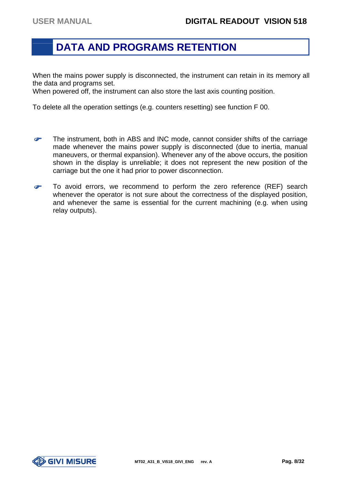#### **DATA AND PROGRAMS RETENTION**

When the mains power supply is disconnected, the instrument can retain in its memory all the data and programs set.

When powered off, the instrument can also store the last axis counting position.

To delete all the operation settings (e.g. counters resetting) see function F 00.

- œ The instrument, both in ABS and INC mode, cannot consider shifts of the carriage made whenever the mains power supply is disconnected (due to inertia, manual maneuvers, or thermal expansion). Whenever any of the above occurs, the position shown in the display is unreliable; it does not represent the new position of the carriage but the one it had prior to power disconnection.
- æ To avoid errors, we recommend to perform the zero reference (REF) search whenever the operator is not sure about the correctness of the displayed position, and whenever the same is essential for the current machining (e.g. when using relay outputs).

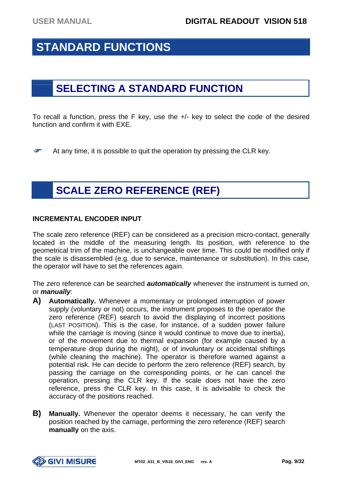# **STANDARD FUNCTIONS**

# **SELECTING A STANDARD FUNCTION**

To recall a function, press the F key, use the +/- key to select the code of the desired function and confirm it with EXE.

œ At any time, it is possible to quit the operation by pressing the CLR key.

# **SCALE ZERO REFERENCE (REF)**

#### **INCREMENTAL ENCODER INPUT**

The scale zero reference (REF) can be considered as a precision micro-contact, generally located in the middle of the measuring length. Its position, with reference to the geometrical trim of the machine, is unchangeable over time. This could be modified only if the scale is disassembled (e.g. due to service, maintenance or substitution). In this case, the operator will have to set the references again.

The zero reference can be searched *automatically* whenever the instrument is turned on, or *manually*:

- **A) Automatically.** Whenever a momentary or prolonged interruption of power supply (voluntary or not) occurs, the instrument proposes to the operator the zero reference (REF) search to avoid the displaying of incorrect positions (LAST POSITION). This is the case, for instance, of a sudden power failure while the carriage is moving (since it would continue to move due to inertia), or of the movement due to thermal expansion (for example caused by a temperature drop during the night), or of involuntary or accidental shiftings (while cleaning the machine). The operator is therefore warned against a potential risk. He can decide to perform the zero reference (REF) search, by passing the carriage on the corresponding points, or he can cancel the operation, pressing the CLR key. If the scale does not have the zero reference, press the CLR key. In this case, it is advisable to check the accuracy of the positions reached.
- **B) Manually.** Whenever the operator deems it necessary, he can verify the position reached by the carriage, performing the zero reference (REF) search **manually** on the axis.

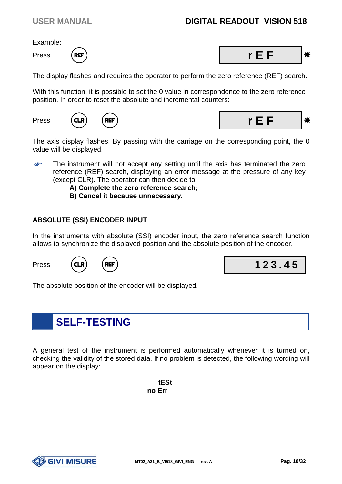#### USER MANUAL **DIGITAL READOUT VISION 518**

Example:





The display flashes and requires the operator to perform the zero reference (REF) search.

With this function, it is possible to set the 0 value in correspondence to the zero reference position. In order to reset the absolute and incremental counters:





The axis display flashes. By passing with the carriage on the corresponding point, the 0 value will be displayed.

œ The instrument will not accept any setting until the axis has terminated the zero reference (REF) search, displaying an error message at the pressure of any key (except CLR). The operator can then decide to:

> **A) Complete the zero reference search; B) Cancel it because unnecessary.**

#### **ABSOLUTE (SSI) ENCODER INPUT**

In the instruments with absolute (SSI) encoder input, the zero reference search function allows to synchronize the displayed position and the absolute position of the encoder.





The absolute position of the encoder will be displayed.

### **SELF-TESTING**

A general test of the instrument is performed automatically whenever it is turned on, checking the validity of the stored data. If no problem is detected, the following wording will appear on the display:

> **tESt no Err**

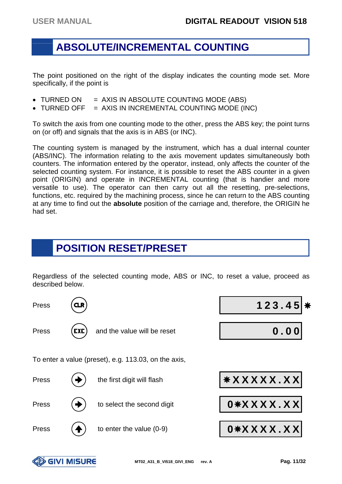#### **ABSOLUTE/INCREMENTAL COUNTING**

The point positioned on the right of the display indicates the counting mode set. More specifically, if the point is

- $\bullet$  TURNED ON  $=$  AXIS IN ABSOLUTE COUNTING MODE (ABS)
- $\bullet$  TURNED OFF  $=$  AXIS IN INCREMENTAL COUNTING MODE (INC)

To switch the axis from one counting mode to the other, press the ABS key; the point turns on (or off) and signals that the axis is in ABS (or INC).

The counting system is managed by the instrument, which has a dual internal counter (ABS/INC). The information relating to the axis movement updates simultaneously both counters. The information entered by the operator, instead, only affects the counter of the selected counting system. For instance, it is possible to reset the ABS counter in a given point (ORIGIN) and operate in INCREMENTAL counting (that is handier and more versatile to use). The operator can then carry out all the resetting, pre-selections, functions, etc. required by the machining process, since he can return to the ABS counting at any time to find out the **absolute** position of the carriage and, therefore, the ORIGIN he had set.

# **POSITION RESET/PRESET**

Regardless of the selected counting mode, ABS or INC, to reset a value, proceed as described below.



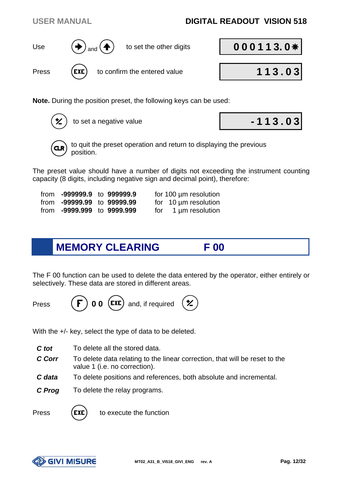# USER MANUAL **DIGITAL READOUT VISION 518**

**Note.** During the position preset, the following keys can be used:

to set a negative value **- 1 1 3 . 0 3**



The preset value should have a number of digits not exceeding the instrument counting capacity (8 digits, including negative sign and decimal point), therefore:

| from -999999.9 to 999999.9 |  | for 100 µm resolution     |
|----------------------------|--|---------------------------|
| from -99999.99 to 99999.99 |  | for $10 \mu m$ resolution |
| from -9999.999 to 9999.999 |  | for $1 \mu m$ resolution  |

# **MEMORY CLEARING F 00**

The F 00 function can be used to delete the data entered by the operator, either entirely or selectively. These data are stored in different areas.

\*/

Press  $(\mathbf{F})$  **0 0** (EXE) and, if required

With the  $+/-$  key, select the type of data to be deleted.

- *C* tot To delete all the stored data.
- *C Corr* To delete data relating to the linear correction, that will be reset to the value 1 (i.e. no correction).
- *C* data To delete positions and references, both absolute and incremental.
- *C Prog* To delete the relay programs.

Press  $(\text{EXE})$  to execute the function







Press (EXE) to confirm the entered value **113.03** 

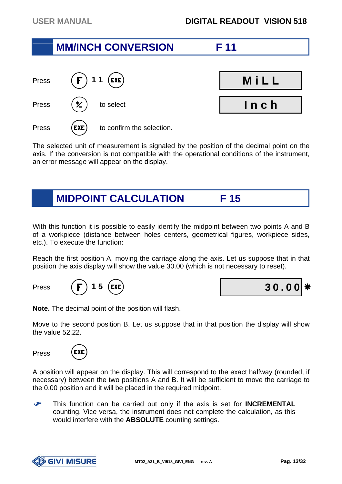# **MM/INCH CONVERSION F 11**





The selected unit of measurement is signaled by the position of the decimal point on the axis. If the conversion is not compatible with the operational conditions of the instrument, an error message will appear on the display.

# **MIDPOINT CALCULATION F 15**

With this function it is possible to easily identify the midpoint between two points A and B of a workpiece (distance between holes centers, geometrical figures, workpiece sides, etc.). To execute the function:

Reach the first position A, moving the carriage along the axis. Let us suppose that in that position the axis display will show the value 30.00 (which is not necessary to reset).





**Note.** The decimal point of the position will flash.

Move to the second position B. Let us suppose that in that position the display will show the value 52.22.

Press



A position will appear on the display. This will correspond to the exact halfway (rounded, if necessary) between the two positions A and B. It will be sufficient to move the carriage to the 0.00 position and it will be placed in the required midpoint.

 This function can be carried out only if the axis is set for **INCREMENTAL** counting. Vice versa, the instrument does not complete the calculation, as this would interfere with the **ABSOLUTE** counting settings.

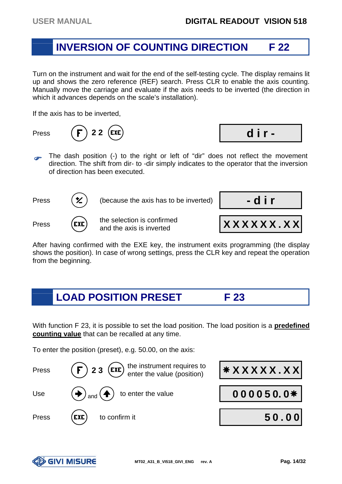#### **INVERSION OF COUNTING DIRECTION F 22**

Turn on the instrument and wait for the end of the self-testing cycle. The display remains lit up and shows the zero reference (REF) search. Press CLR to enable the axis counting. Manually move the carriage and evaluate if the axis needs to be inverted (the direction in which it advances depends on the scale's installation).

If the axis has to be inverted,

Press **(F) 2 2 (EXE) dir -**

- 
- $\sigma$  The dash position (-) to the right or left of "dir" does not reflect the movement direction. The shift from dir- to -dir simply indicates to the operator that the inversion of direction has been executed.



After having confirmed with the EXE key, the instrument exits programming (the display shows the position). In case of wrong settings, press the CLR key and repeat the operation from the beginning.

# **LOAD POSITION PRESET F 23**

With function F 23, it is possible to set the load position. The load position is a **predefined counting value** that can be recalled at any time.

To enter the position (preset), e.g. 50.00, on the axis:



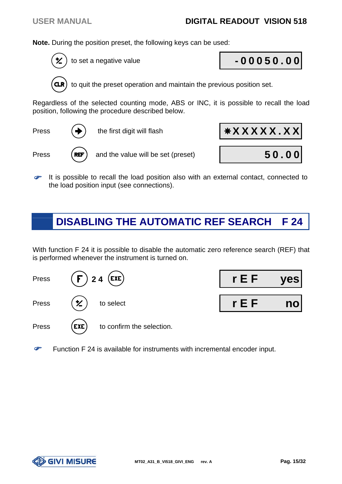**Note.** During the position preset, the following keys can be used:

to set a negative value **- 0 0 0 5 0 . 0 0**



to quit the preset operation and maintain the previous position set.

Regardless of the selected counting mode, ABS or INC, it is possible to recall the load position, following the procedure described below.

**Press**  $\left(\rightarrow\right)$  the first digit will flash **XXXXXXX** 



 $\bullet$  It is possible to recall the load position also with an external contact, connected to the load position input (see connections).

# **DISABLING THE AUTOMATIC REF SEARCH F 24**

With function F 24 it is possible to disable the automatic zero reference search (REF) that is performed whenever the instrument is turned on.





œ Function F 24 is available for instruments with incremental encoder input.

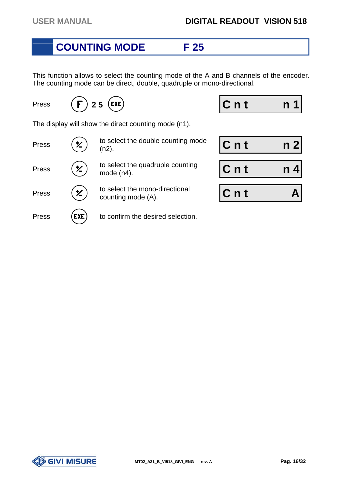### **COUNTING MODE F 25**

This function allows to select the counting mode of the A and B channels of the encoder. The counting mode can be direct, double, quadruple or mono-directional.

Press  $(F)$  2.5 (EXE) **Cnt** n 1

The display will show the direct counting mode (n1).

| Press | <b>*/</b>  | to select the double counting mode<br>(n2).          | $Cn$ t |  |
|-------|------------|------------------------------------------------------|--------|--|
| Press | <b>火</b>   | to select the quadruple counting<br>mode $(n4)$ .    | $Cn$ t |  |
| Press | ン こうしょう    | to select the mono-directional<br>counting mode (A). | $Cn$ t |  |
| Press | <b>EXE</b> | to confirm the desired selection.                    |        |  |

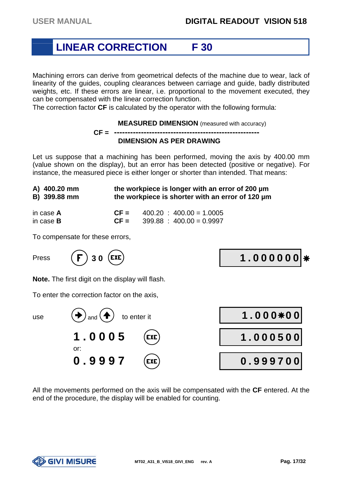# **LINEAR CORRECTION F 30**

Machining errors can derive from geometrical defects of the machine due to wear, lack of linearity of the guides, coupling clearances between carriage and guide, badly distributed weights, etc. If these errors are linear, i.e. proportional to the movement executed, they can be compensated with the linear correction function.

The correction factor **CF** is calculated by the operator with the following formula:

#### **MEASURED DIMENSION** (measured with accuracy) **CF = ------------------------------------------------------ DIMENSION AS PER DRAWING**

Let us suppose that a machining has been performed, moving the axis by 400.00 mm (value shown on the display), but an error has been detected (positive or negative). For instance, the measured piece is either longer or shorter than intended. That means:

| A) 400.20 mm      | the workpiece is longer with an error of 200 µm  |                            |  |  |  |
|-------------------|--------------------------------------------------|----------------------------|--|--|--|
| B) 399.88 mm      | the workpiece is shorter with an error of 120 um |                            |  |  |  |
| in case <b>A</b>  | $CF =$                                           | $400.20 : 400.00 = 1.0005$ |  |  |  |
| in case ${\bf B}$ | $CF =$                                           | $399.88 : 400.00 = 0.9997$ |  |  |  |

To compensate for these errors,



**Note.** The first digit on the display will flash.

To enter the correction factor on the axis,



All the movements performed on the axis will be compensated with the **CF** entered. At the end of the procedure, the display will be enabled for counting.

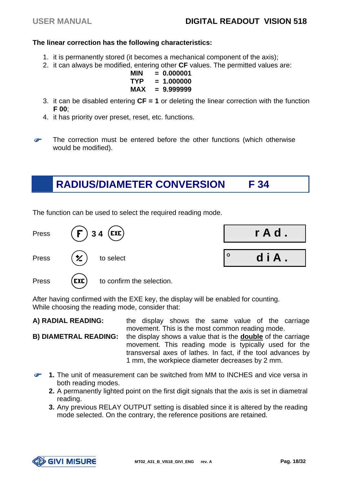#### **The linear correction has the following characteristics:**

- 1. it is permanently stored (it becomes a mechanical component of the axis);
- 2. it can always be modified, entering other **CF** values. The permitted values are:
	- **MIN = 0.000001 TYP = 1.000000 MAX = 9.999999**
- 3. it can be disabled entering **CF = 1** or deleting the linear correction with the function **F 00**;
- 4. it has priority over preset, reset, etc. functions.
- The correction must be entered before the other functions (which otherwise would be modified).

### **RADIUS/DIAMETER CONVERSION F 34**

The function can be used to select the required reading mode.



After having confirmed with the EXE key, the display will be enabled for counting. While choosing the reading mode, consider that:

**A) RADIAL READING:** the display shows the same value of the carriage movement. This is the most common reading mode.

**B) DIAMETRAL READING:** the display shows a value that is the **double** of the carriage movement. This reading mode is typically used for the transversal axes of lathes. In fact, if the tool advances by 1 mm, the workpiece diameter decreases by 2 mm.

- **1.** The unit of measurement can be switched from MM to INCHES and vice versa in both reading modes.
	- **2.** A permanently lighted point on the first digit signals that the axis is set in diametral reading.
	- **3.** Any previous RELAY OUTPUT setting is disabled since it is altered by the reading mode selected. On the contrary, the reference positions are retained.

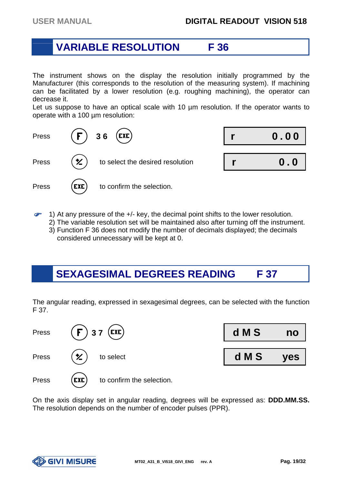#### **VARIABLE RESOLUTION F 36**

The instrument shows on the display the resolution initially programmed by the Manufacturer (this corresponds to the resolution of the measuring system). If machining can be facilitated by a lower resolution (e.g. roughing machining), the operator can decrease it.

Let us suppose to have an optical scale with 10 µm resolution. If the operator wants to operate with a 100 µm resolution:



- **P**  1) At any pressure of the +/- key, the decimal point shifts to the lower resolution.
	- 2) The variable resolution set will be maintained also after turning off the instrument.
	- 3) Function F 36 does not modify the number of decimals displayed; the decimals considered unnecessary will be kept at 0.

# **SEXAGESIMAL DEGREES READING F 37**

The angular reading, expressed in sexagesimal degrees, can be selected with the function F 37.

| Press | $(F)$ 37 (EXE)                                | d M S | no  |
|-------|-----------------------------------------------|-------|-----|
| Press | $(\star)$ to select                           | d M S | yes |
| Press | $(\mathsf{exe})$<br>to confirm the selection. |       |     |

On the axis display set in angular reading, degrees will be expressed as: **DDD.MM.SS.**  The resolution depends on the number of encoder pulses (PPR).

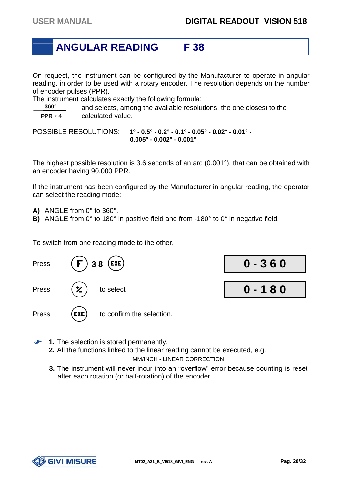#### **ANGULAR READING F 38**

On request, the instrument can be configured by the Manufacturer to operate in angular reading, in order to be used with a rotary encoder. The resolution depends on the number of encoder pulses (PPR).

The instrument calculates exactly the following formula:

 **360°** and selects, among the available resolutions, the one closest to the **PPR x 4** calculated value.

POSSIBLE RESOLUTIONS: **1° - 0.5° - 0.2° - 0.1° - 0.05° - 0.02° - 0.01° - 0.005° - 0.002° - 0.001°**

The highest possible resolution is 3.6 seconds of an arc (0.001°), that can be obtained with an encoder having 90,000 PPR.

If the instrument has been configured by the Manufacturer in angular reading, the operator can select the reading mode:

- **A)** ANGLE from 0° to 360°.
- **B)** ANGLE from 0° to 180° in positive field and from -180° to 0° in negative field.

To switch from one reading mode to the other,



- **8** 1. The selection is stored permanently.
	- **2.** All the functions linked to the linear reading cannot be executed, e.g.: MM/INCH - LINEAR CORRECTION
	- **3.** The instrument will never incur into an "overflow" error because counting is reset after each rotation (or half-rotation) of the encoder.

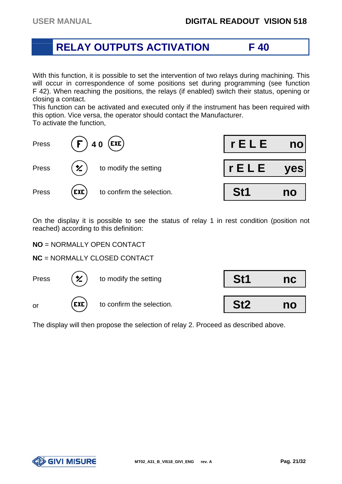#### **RELAY OUTPUTS ACTIVATION F 40**

With this function, it is possible to set the intervention of two relays during machining. This will occur in correspondence of some positions set during programming (see function F 42). When reaching the positions, the relays (if enabled) switch their status, opening or closing a contact.

This function can be activated and executed only if the instrument has been required with this option. Vice versa, the operator should contact the Manufacturer. To activate the function,



On the display it is possible to see the status of relay 1 in rest condition (position not reached) according to this definition:

**NO** = NORMALLY OPEN CONTACT

**NC** = NORMALLY CLOSED CONTACT



The display will then propose the selection of relay 2. Proceed as described above.

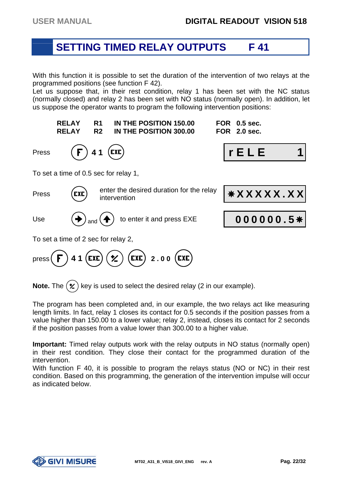#### **SETTING TIMED RELAY OUTPUTS F 41**

With this function it is possible to set the duration of the intervention of two relays at the programmed positions (see function F 42).

Let us suppose that, in their rest condition, relay 1 has been set with the NC status (normally closed) and relay 2 has been set with NO status (normally open). In addition, let us suppose the operator wants to program the following intervention positions:



**Note.** The  $(\times)$  key is used to select the desired relay (2 in our example).

The program has been completed and, in our example, the two relays act like measuring length limits. In fact, relay 1 closes its contact for 0.5 seconds if the position passes from a value higher than 150.00 to a lower value; relay 2, instead, closes its contact for 2 seconds if the position passes from a value lower than 300.00 to a higher value.

**Important:** Timed relay outputs work with the relay outputs in NO status (normally open) in their rest condition. They close their contact for the programmed duration of the intervention.

With function F 40, it is possible to program the relays status (NO or NC) in their rest condition. Based on this programming, the generation of the intervention impulse will occur as indicated below.

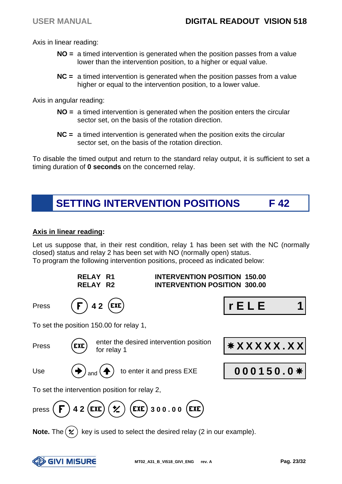Axis in linear reading:

- **NO =** a timed intervention is generated when the position passes from a value lower than the intervention position, to a higher or equal value.
- **NC =** a timed intervention is generated when the position passes from a value higher or equal to the intervention position, to a lower value.

Axis in angular reading:

- **NO =** a timed intervention is generated when the position enters the circular sector set, on the basis of the rotation direction.
- **NC =** a timed intervention is generated when the position exits the circular sector set, on the basis of the rotation direction.

To disable the timed output and return to the standard relay output, it is sufficient to set a timing duration of **0 seconds** on the concerned relay.



#### **Axis in linear reading:**

Let us suppose that, in their rest condition, relay 1 has been set with the NC (normally closed) status and relay 2 has been set with NO (normally open) status. To program the following intervention positions, proceed as indicated below:

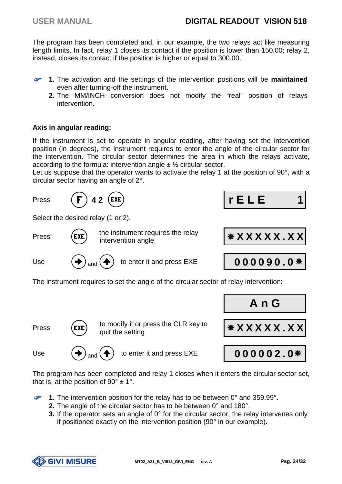The program has been completed and, in our example, the two relays act like measuring length limits. In fact, relay 1 closes its contact if the position is lower than 150.00; relay 2, instead, closes its contact if the position is higher or equal to 300.00.

- œ **1.** The activation and the settings of the intervention positions will be **maintained** even after turning-off the instrument.
	- **2.** The MM/INCH conversion does not modify the "real" position of relays intervention.

#### **Axis in angular reading:**

If the instrument is set to operate in angular reading, after having set the intervention position (in degrees), the instrument requires to enter the angle of the circular sector for the intervention. The circular sector determines the area in which the relays activate, according to the formula: intervention angle  $\pm \frac{1}{2}$  circular sector.

Let us suppose that the operator wants to activate the relay 1 at the position of 90°, with a circular sector having an angle of 2°.



Press  $\begin{pmatrix} \text{EXE} \\ \text{quit the setting} \end{pmatrix}$ 

Use  $(\bigstar)_{\text{and}}(\bigstar)$  to enter it and press EXE **000002.0**<sup>\*</sup>

quit the setting **X X X X X . X X**

The program has been completed and relay 1 closes when it enters the circular sector set, that is, at the position of 90 $^{\circ}$  ± 1 $^{\circ}$ .

- **1.** The intervention position for the relay has to be between 0° and 359.99°.
	- **2.** The angle of the circular sector has to be between 0° and 180°.
	- **3.** If the operator sets an angle of 0° for the circular sector, the relay intervenes only if positioned exactly on the intervention position (90° in our example).

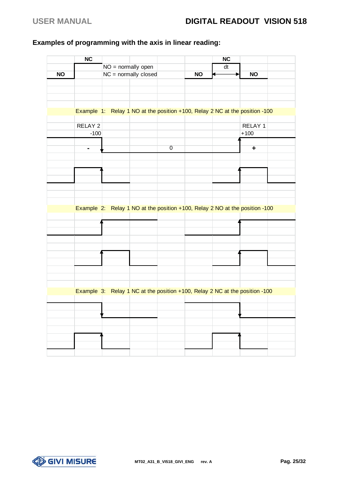#### **Examples of programming with the axis in linear reading:**

|           | <b>NC</b>      |                      |                |                                                                             | NC |           |  |
|-----------|----------------|----------------------|----------------|-----------------------------------------------------------------------------|----|-----------|--|
|           |                | NO = normally open   |                |                                                                             | dt |           |  |
| <b>NO</b> |                | NC = normally closed |                | <b>NO</b>                                                                   |    | <b>NO</b> |  |
|           |                |                      |                |                                                                             |    |           |  |
|           |                |                      |                |                                                                             |    |           |  |
|           |                |                      |                |                                                                             |    |           |  |
|           |                |                      |                |                                                                             |    |           |  |
|           |                |                      |                | Example 1: Relay 1 NO at the position +100, Relay 2 NC at the position -100 |    |           |  |
|           |                |                      |                |                                                                             |    |           |  |
|           | RELAY 2        |                      |                |                                                                             |    | RELAY 1   |  |
|           | $-100$         |                      |                |                                                                             |    | $+100$    |  |
|           |                |                      |                |                                                                             |    |           |  |
|           | $\blacksquare$ |                      | $\overline{0}$ |                                                                             |    | ٠         |  |
|           |                |                      |                |                                                                             |    |           |  |
|           |                |                      |                |                                                                             |    |           |  |
|           |                |                      |                |                                                                             |    |           |  |
|           |                |                      |                |                                                                             |    |           |  |
|           |                |                      |                |                                                                             |    |           |  |
|           |                |                      |                |                                                                             |    |           |  |
|           |                |                      |                |                                                                             |    |           |  |
|           |                |                      |                | Example 2: Relay 1 NO at the position +100, Relay 2 NO at the position -100 |    |           |  |
|           |                |                      |                |                                                                             |    |           |  |
|           |                |                      |                |                                                                             |    |           |  |
|           |                |                      |                |                                                                             |    |           |  |
|           |                |                      |                |                                                                             |    |           |  |
|           |                |                      |                |                                                                             |    |           |  |
|           |                |                      |                |                                                                             |    |           |  |
|           |                |                      |                |                                                                             |    |           |  |
|           |                |                      |                |                                                                             |    |           |  |
|           |                |                      |                |                                                                             |    |           |  |
|           |                |                      |                |                                                                             |    |           |  |
|           |                |                      |                | Example 3: Relay 1 NC at the position +100, Relay 2 NC at the position -100 |    |           |  |
|           |                |                      |                |                                                                             |    |           |  |
|           |                |                      |                |                                                                             |    |           |  |
|           |                |                      |                |                                                                             |    |           |  |
|           |                |                      |                |                                                                             |    |           |  |
|           |                |                      |                |                                                                             |    |           |  |
|           |                |                      |                |                                                                             |    |           |  |
|           |                |                      |                |                                                                             |    |           |  |
|           |                |                      |                |                                                                             |    |           |  |

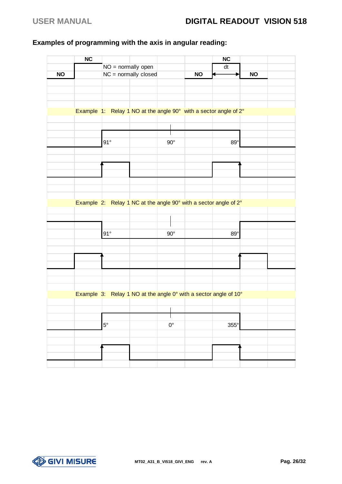#### **Examples of programming with the axis in angular reading:**

|           | <b>NC</b> |                      |                        |             |           | NC                                                               |           |  |
|-----------|-----------|----------------------|------------------------|-------------|-----------|------------------------------------------------------------------|-----------|--|
|           |           | $NO = normally open$ |                        |             |           | $\overline{dt}$                                                  |           |  |
| <b>NO</b> |           |                      | $NC = normally closed$ |             | <b>NO</b> |                                                                  | <b>NO</b> |  |
|           |           |                      |                        |             |           |                                                                  |           |  |
|           |           |                      |                        |             |           |                                                                  |           |  |
|           |           |                      |                        |             |           |                                                                  |           |  |
|           |           |                      |                        |             |           |                                                                  |           |  |
|           |           |                      |                        |             |           | Example 1: Relay 1 NO at the angle 90° with a sector angle of 2° |           |  |
|           |           |                      |                        |             |           |                                                                  |           |  |
|           |           |                      |                        |             |           |                                                                  |           |  |
|           |           |                      |                        |             |           |                                                                  |           |  |
|           |           | 91°                  |                        | $90^\circ$  |           | $89^\circ$                                                       |           |  |
|           |           |                      |                        |             |           |                                                                  |           |  |
|           |           |                      |                        |             |           |                                                                  |           |  |
|           |           |                      |                        |             |           |                                                                  |           |  |
|           |           |                      |                        |             |           |                                                                  |           |  |
|           |           |                      |                        |             |           |                                                                  |           |  |
|           |           |                      |                        |             |           |                                                                  |           |  |
|           |           |                      |                        |             |           |                                                                  |           |  |
|           |           |                      |                        |             |           | Example 2: Relay 1 NC at the angle 90° with a sector angle of 2° |           |  |
|           |           |                      |                        |             |           |                                                                  |           |  |
|           |           |                      |                        |             |           |                                                                  |           |  |
|           |           | $91^\circ$           |                        | $90^\circ$  |           | $89^\circ$                                                       |           |  |
|           |           |                      |                        |             |           |                                                                  |           |  |
|           |           |                      |                        |             |           |                                                                  |           |  |
|           |           |                      |                        |             |           |                                                                  |           |  |
|           |           |                      |                        |             |           |                                                                  |           |  |
|           |           |                      |                        |             |           |                                                                  |           |  |
|           |           |                      |                        |             |           |                                                                  |           |  |
|           |           |                      |                        |             |           |                                                                  |           |  |
|           |           |                      |                        |             |           | Example 3: Relay 1 NO at the angle 0° with a sector angle of 10° |           |  |
|           |           |                      |                        |             |           |                                                                  |           |  |
|           |           |                      |                        |             |           |                                                                  |           |  |
|           |           |                      |                        |             |           |                                                                  |           |  |
|           |           | $5^{\circ}$          |                        | $0^{\circ}$ |           | $355^\circ$                                                      |           |  |
|           |           |                      |                        |             |           |                                                                  |           |  |
|           |           |                      |                        |             |           |                                                                  |           |  |
|           |           |                      |                        |             |           |                                                                  |           |  |
|           |           |                      |                        |             |           |                                                                  |           |  |
|           |           |                      |                        |             |           |                                                                  |           |  |

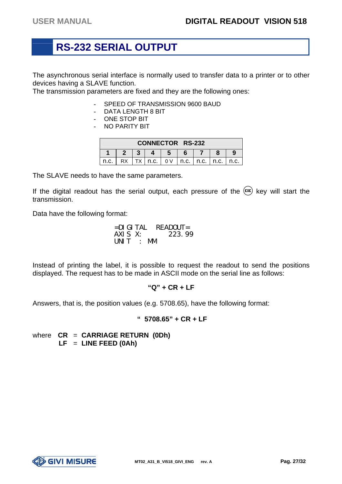# **RS-232 SERIAL OUTPUT**

The asynchronous serial interface is normally used to transfer data to a printer or to other devices having a SLAVE function.

The transmission parameters are fixed and they are the following ones:

- **-** SPEED OF TRANSMISSION 9600 BAUD
- **-** DATA LENGTH 8 BIT
- **-** ONE STOP BIT
- **-** NO PARITY BIT

| <b>CONNECTOR RS-232</b> |  |  |           |     |                      |  |      |
|-------------------------|--|--|-----------|-----|----------------------|--|------|
|                         |  |  |           |     |                      |  |      |
| n.c.                    |  |  | TX   n.c. | 0 V | I n.c. I n.c. I n.c. |  | n.c. |

The SLAVE needs to have the same parameters.

If the digital readout has the serial output, each pressure of the  $(\epsilon x \epsilon)$  key will start the transmission.

Data have the following format:

=DIGITAL READOUT= AXIS X: UNIT : MM

Instead of printing the label, it is possible to request the readout to send the positions displayed. The request has to be made in ASCII mode on the serial line as follows:

#### **"Q" + CR + LF**

Answers, that is, the position values (e.g. 5708.65), have the following format:

#### **" 5708.65" + CR + LF**

where **CR** = **CARRIAGE RETURN (0Dh) LF** = **LINE FEED (0Ah)** 

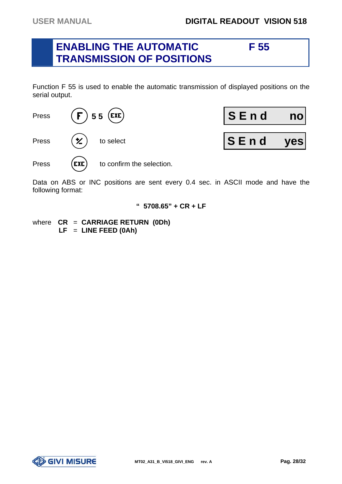#### **ENABLING THE AUTOMATIC F 55 TRANSMISSION OF POSITIONS**

Function F 55 is used to enable the automatic transmission of displayed positions on the serial output.



Data on ABS or INC positions are sent every 0.4 sec. in ASCII mode and have the following format:

#### **" 5708.65" + CR + LF**

where **CR** = **CARRIAGE RETURN (0Dh) LF** = **LINE FEED (0Ah)** 

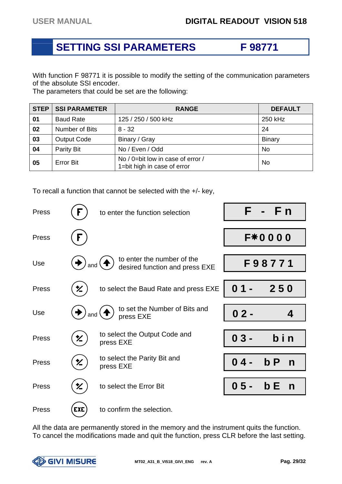# **SETTING SSI PARAMETERS F 98771**

With function F 98771 it is possible to modify the setting of the communication parameters of the absolute SSI encoder.

The parameters that could be set are the following:

| <b>STEP</b> | <b>SSI PARAMETER</b> | <b>RANGE</b>                                                     | <b>DEFAULT</b> |
|-------------|----------------------|------------------------------------------------------------------|----------------|
| 01          | <b>Baud Rate</b>     | 125 / 250 / 500 kHz                                              | 250 kHz        |
| 02          | Number of Bits       | $8 - 32$                                                         | 24             |
| 03          | <b>Output Code</b>   | Binary / Gray                                                    | <b>Binary</b>  |
| 04          | Parity Bit           | No / Even / Odd                                                  | <b>No</b>      |
| 05          | <b>Error Bit</b>     | No / 0=bit low in case of error /<br>1=bit high in case of error | No             |

To recall a function that cannot be selected with the +/- key,

| Press |            | to enter the function selection                              | F.     | F <sub>n</sub>      |
|-------|------------|--------------------------------------------------------------|--------|---------------------|
| Press | F          |                                                              |        | <b>F*0000</b>       |
| Use   | and        | to enter the number of the<br>desired function and press EXE |        | F98771              |
| Press | 幺          | to select the Baud Rate and press EXE                        | 0      | 250                 |
| Use   | and        | to set the Number of Bits and<br>press EXE                   | $02 -$ | 4                   |
| Press | 匕          | to select the Output Code and<br>press EXE                   | $03 -$ | bin                 |
| Press | 幺          | to select the Parity Bit and<br>press EXE                    | 04-    | bP<br>$\mathsf{n}$  |
| Press | Ϋ          | to select the Error Bit                                      | $05 -$ | b E<br>$\mathsf{n}$ |
| Press | <b>EXE</b> | to confirm the selection.                                    |        |                     |

All the data are permanently stored in the memory and the instrument quits the function. To cancel the modifications made and quit the function, press CLR before the last setting.

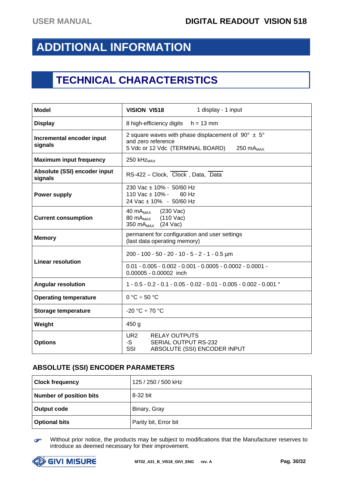# **ADDITIONAL INFORMATION**

# **TECHNICAL CHARACTERISTICS**

| <b>Model</b>                            | <b>VISION VI518</b><br>1 display - 1 input                                                                                                              |
|-----------------------------------------|---------------------------------------------------------------------------------------------------------------------------------------------------------|
| <b>Display</b>                          | 8 high-efficiency digits<br>$h = 13$ mm                                                                                                                 |
| Incremental encoder input<br>signals    | 2 square waves with phase displacement of $90^{\circ} \pm 5^{\circ}$<br>and zero reference<br>5 Vdc or 12 Vdc (TERMINAL BOARD)<br>250 mA <sub>MAX</sub> |
| <b>Maximum input frequency</b>          | 250 kHz <sub>MAX</sub>                                                                                                                                  |
| Absolute (SSI) encoder input<br>signals | RS-422 - Clock, Clock, Data, Data                                                                                                                       |
| <b>Power supply</b>                     | 230 Vac ± 10% - 50/60 Hz<br>110 Vac $\pm$ 10% - 60 Hz<br>24 Vac ± 10% - 50/60 Hz                                                                        |
| <b>Current consumption</b>              | $(230 \text{ Vac})$<br>40 m $A_{\rm MAX}$<br>$(110$ Vac)<br>80 mA <sub>MAX</sub><br>350 mA <sub>MAX</sub> (24 Vac)                                      |
| <b>Memory</b>                           | permanent for configuration and user settings<br>(last data operating memory)                                                                           |
| <b>Linear resolution</b>                | 200 - 100 - 50 - 20 - 10 - 5 - 2 - 1 - 0.5 µm<br>$0.01 - 0.005 - 0.002 - 0.001 - 0.0005 - 0.0002 - 0.0001 -$<br>0.00005 - 0.00002 inch                  |
| <b>Angular resolution</b>               | $1 - 0.5 - 0.2 - 0.1 - 0.05 - 0.02 - 0.01 - 0.005 - 0.002 - 0.001$ °                                                                                    |
| <b>Operating temperature</b>            | $0 °C \div 50 °C$                                                                                                                                       |
| <b>Storage temperature</b>              | $-20 °C \div 70 °C$                                                                                                                                     |
| Weight                                  | 450 <sub>g</sub>                                                                                                                                        |
| <b>Options</b>                          | UR <sub>2</sub><br><b>RELAY OUTPUTS</b><br>-S<br>SERIAL OUTPUT RS-232<br>SSI<br>ABSOLUTE (SSI) ENCODER INPUT                                            |

#### **ABSOLUTE (SSI) ENCODER PARAMETERS**

| <b>Clock frequency</b>  | 125 / 250 / 500 kHz   |
|-------------------------|-----------------------|
| Number of position bits | 8-32 bit              |
| Output code             | Binary, Gray          |
| <b>Optional bits</b>    | Parity bit, Error bit |

G Without prior notice, the products may be subject to modifications that the Manufacturer reserves to introduce as deemed necessary for their improvement.

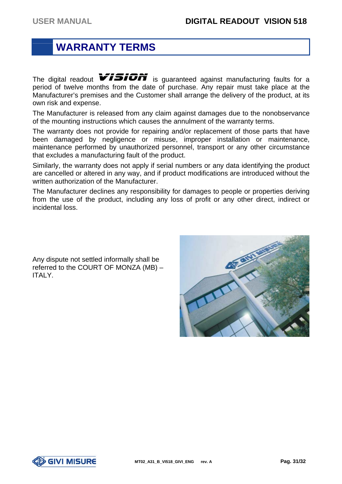# **WARRANTY TERMS**

The digital readout  $\sqrt{1510}$  is guaranteed against manufacturing faults for a period of twelve months from the date of purchase. Any repair must take place at the Manufacturer's premises and the Customer shall arrange the delivery of the product, at its own risk and expense.

The Manufacturer is released from any claim against damages due to the nonobservance of the mounting instructions which causes the annulment of the warranty terms.

The warranty does not provide for repairing and/or replacement of those parts that have been damaged by negligence or misuse, improper installation or maintenance, maintenance performed by unauthorized personnel, transport or any other circumstance that excludes a manufacturing fault of the product.

Similarly, the warranty does not apply if serial numbers or any data identifying the product are cancelled or altered in any way, and if product modifications are introduced without the written authorization of the Manufacturer.

The Manufacturer declines any responsibility for damages to people or properties deriving from the use of the product, including any loss of profit or any other direct, indirect or incidental loss.

Any dispute not settled informally shall be referred to the COURT OF MONZA (MB) – ITALY.